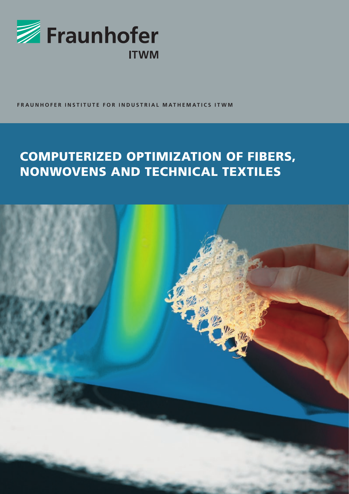

**FRAUNHOFER INSTITUTE FOR INDUSTRIAL MATHEMATICS ITWM**

# COMPUTERIZED OPTIMIZATION OF FIBERS, NONWOVENS AND TECHNICAL TEXTILES

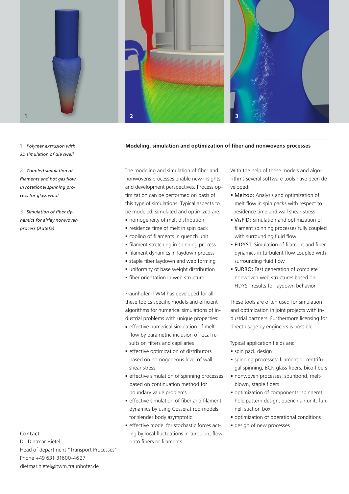

**1** *Polymer extrusion with 3D simulation of die swell*

**2** *Coupled simulation of filaments and hot gas flow in rotational spinning process for glass wool*

**3** *Simulation of fiber dynamics for airlay nonwoven process (Autefa)*



Dr. Dietmar Hietel Head of department "Transport Processes" Phone +49 631 31600-4627 dietmar.hietel@itwm.fraunhofer.de





# **Modeling, simulation and optimization of fiber and nonwovens processes**

The modeling and simulation of fiber and nonwovens processes enable new insights and development perspectives. Process optimization can be performed on basis of this type of simulations. Typical aspects to be modeled, simulated and optimized are:

- homogeneity of melt distribution
- residence time of melt in spin pack
- cooling of filaments in quench unit
- filament stretching in spinning process
- filament dynamics in laydown process
- staple fiber laydown and web forming
- uniformity of base weight distribution
- fiber orientation in web structure

Fraunhofer ITWM has developed for all these topics specific models and efficient algorithms for numerical simulations of industrial problems with unique properties:

- effective numerical simulation of melt flow by parametric inclusion of local results on filters and capillaries
- effective optimization of distributors based on homogeneous level of wall shear stress
- effective simulation of spinning processes based on continuation method for boundary value problems
- effective simulation of fiber and filament dynamics by using Cosserat rod models for slender body asymptotic
- effective model for stochastic forces acting by local fluctuations in turbulent flow onto fibers or filaments

With the help of these models and algorithms several software tools have been developed:

- Meltop: Analysis and optimization of melt flow in spin packs with respect to residence time and wall shear stress
- VisFID: Simulation and optimization of filament spinning processes fully coupled with surrounding fluid flow
- FIDYST: Simulation of filament and fiber dynamics in turbulent flow coupled with surrounding fluid flow
- SURRO: Fast generation of complete nonwoven web structures based on FIDYST results for laydown behavior

These tools are often used for simulation and optimization in joint projects with industrial partners. Furthermore licensing for direct usage by engineers is possible.

Typical application fields are:

- spin pack design
- spinning processes: filament or centrifugal spinning, BCF, glass fibers, bico fibers
- nonwoven processes: spunbond, meltblown, staple fibers
- optimization of components: spinneret, hole pattern design, quench air unit, funnel, suction box
- optimization of operational conditions
- design of new processes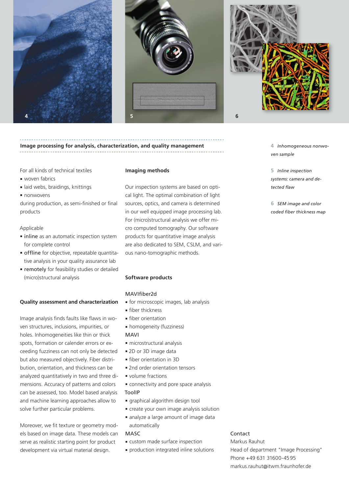





# **Image processing for analysis, characterization, and quality management**

For all kinds of technical textiles

- woven fabrics
- laid webs, braidings, knittings
- nonwovens

during production, as semi-finished or final products

#### Applicable

- inline as an automatic inspection system for complete control
- offline for objective, repeatable quantitative analysis in your quality assurance lab
- remotely for feasibility studies or detailed (micro)structural analysis

#### **Quality assessment and characterization**

Image analysis finds faults like flaws in woven structures, inclusions, impurities, or holes. Inhomogeneities like thin or thick spots, formation or calender errors or exceeding fuzziness can not only be detected but also measured objectively. Fiber distribution, orientation, and thickness can be analyzed quantitatively in two and three dimensions. Accuracy of patterns and colors can be assessed, too. Model based analysis and machine learning approaches allow to solve further particular problems.

Moreover, we fit texture or geometry models based on image data. These models can serve as realistic starting point for product development via virtual material design.

#### **Imaging methods**

Our inspection systems are based on optical light. The optimal combination of light sources, optics, and camera is determined in our well equipped image processing lab. For (micro)structural analysis we offer micro computed tomography. Our software products for quantitative image analysis are also dedicated to SEM, CSLM, and various nano-tomographic methods.

#### **Software products**

### MAVIfiher<sub>2d</sub>

- for microscopic images, lab analysis
- fiber thickness
- fiber orientation
- homogeneity (fuzziness)

#### MAVI

- microstructural analysis
- 2D or 3D image data
- fiber orientation in 3D
- 2nd order orientation tensors
- volume fractions
- connectivity and pore space analysis ToolIP
- graphical algorithm design tool
- create your own image analysis solution
- analyze a large amount of image data automatically

#### MASC

- custom made surface inspection
- production integrated inline solutions

#### Contact

Markus Rauhut Head of department "Image Processing" Phone +49 631 31600-4595 markus.rauhut@itwm.fraunhofer.de

## **4** *Inhomogeneous nonwoven sample*

**5** *Inline inspection systems: camera and detected flaw*

**6** *SEM image and color coded fiber thickness map*